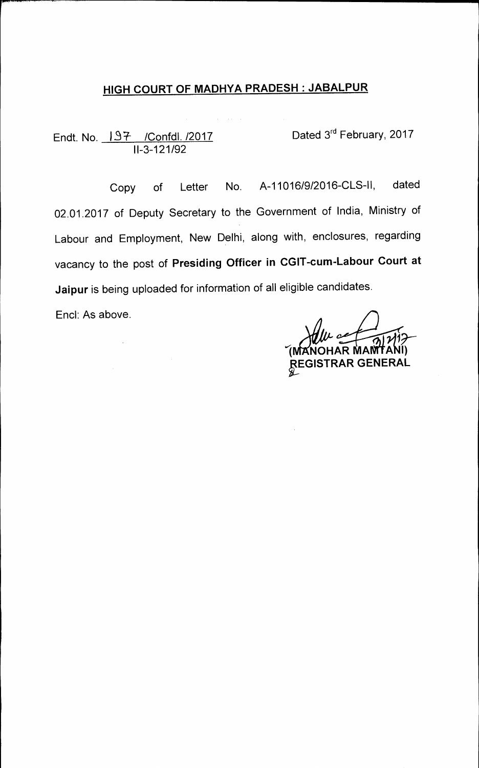# **HIGH COURT OF MADHYA PRADESH : JABALPUR**

 $\mathcal{A}^{\text{max}}_{\text{max}}$ 

Endt. No. <u>IS7 /Confdl. /2017</u> Dated 3<sup>rd</sup> February, 2017 11-3-121/92

Copy of Letter No. A-11016/9/2016-CLS-II, dated 02.01.2017 of Deputy Secretary to the Government of India, Ministry of Labour and Employment, New Delhi, along with, enclosures, regarding vacancy to the post of **Presiding Officer in CGIT-cum-Labour Court at Jaipur** is being uploaded for information of all eligible candidates.

End: As above.

 $\mathcal{L}$ 

**rhp/111---**  (MANOHAR MANITANI) **rGISTRAR GENERAL**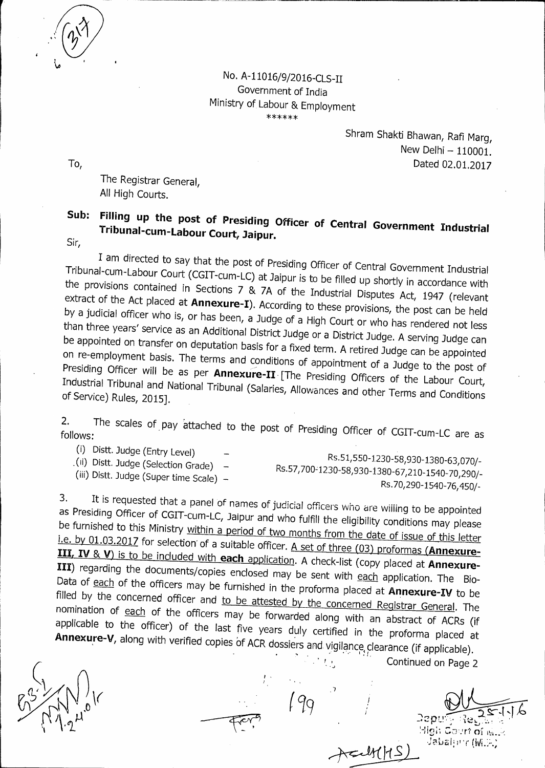No. A-11016/9/2016-CLS-II Government of India Ministry of Labour & Employment \*\*\*\*\*\*

Shram Shakti Bhawan, Rafi Marg, New Delhi — 110001. To, Dated 02.01.2017

The Registrar General, All High Courts.

## **Sub: Filling up the post of Presiding Officer of Central Government Industrial Tribunal-cum-Labour Court, Jaipur.**

Sir,

I am directed to say that the post of Presiding Officer of Central Government Industrial Tribunal-cum-Labour Court (CGIT-cum-LC) at Jaipur is to be filled up shortly in accordance with the provisions contained in Sections 7 & 7A of the Industrial Disputes Act, 1947 (relevant extract of the Act placed at **Annexure-I).** According to these provisions, the post can be held by a judicial officer who is, or has been, a Judge of a High Court or who has rendered not less than three years' service as an Additional District Judge or a District Judge. A serving Judge can se appointed on transfer on deputation basis for a fixed term. A retired Judge can be appointed<br>on re-employment basis. The terms and conditions of employment basis. The terms and conditions of appointment of a Judge to the post of Presiding Officer will be as per Annexure-II [The Presiding Officers of the Labour Court, Industrial Tribunal and National Tribunal (Salaries, Allowances and other Terms and Conditions of Service) Rules, 2015].

2. 2. The scales of pay attached to the post of Presiding Officer of CGIT-cum-LC are as follows:

- 
- (i) Distt. Judge (Entry Level)<br>(ii) Distt. Judge (Selection Grade)

RS.51,550-1230-58,930-1380-63,070/-<br>Distt. Judge (Selection Grade) — Re 57,700,1320,59,000,1320,59,000,000 Rs.57,7001230-58,930-1380-67,210-1540-70,2901- (iii) Distt. Judge (Super time Scale) — Rs.70,290-1540-76,450/-

It is requested that a panel of names of judicial officers who are willing to be appointed  $3.$ as Presiding Officer of CGIT-cum-LC, Jaipur and who fulfill the eligibility conditions may please be furnished to this Ministry within a period of two months from the date of issue of this letter<br>i.e. by 01.03.2017 for selection of a suitable officer. A set of three (03) proformas (Annexure-**I.e. by 01.03.2017** for selection of a suitable officer. <u>A set of three (03) proformas (Annexure-</u><br>**III, IV** & **V**) is to be included with **each** application. A check-list *(copy placed at Annexure-***III**) regarding the documents/copies enclosed may 1 III) regarding the documents/copies enclosed may be sent with each application. The Bio-Data of each of the officers may be furnished in the proforma placed at **Annexure-IV** to be filled by the concerned officer and to be attested by the concerned Registrar General. The nomination of each of the officers may be forwarded along with an abstract of ACRs (if applicable to the officer) of the last five years duly certified in the proforma placed at Annexure-V, along with verified copies of ACR dossiers and vigilance clearance (if applicable).

 $\frac{1}{2}$ 

Continued on Page 2

Depui Might Court of  $m, 2$ Jabaljinr (W.F.)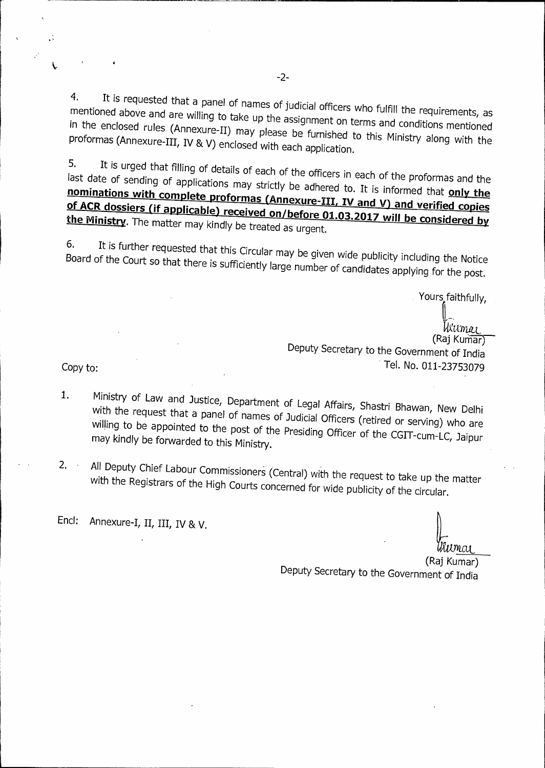4. It is requested that a panel of names of judicial officers who fulfill the requirements, as mentioned above and are willing to take up the assignment on terms and conditions mentioned in the enclosed rules (Annexure-II) may please be furnished to this Ministry along with the proformas (Annexure-III, IV & V) enclosed with each application.

5. It is urged that filling of details of each of the officers in each of the proformas and the last date of sending of applications may strictly be adhered to. It is informed that **only the** nominations with complete proformas (Annexure-III, IV and V) and verified copies **Licable ACK dossiers (if applicable) received on/before 01.03.2017 will be considered by the Ministry.** The matter may kindly be treated as urgent. **of ACR dossiers (if appl** 

6. It is further requested that this Circular may be given wide publicity including the Notice Board of the Court so that there is sufficiently large number of candidates applying for the post.

Yours faithfully,

Wiimar (Raj Kumar) Deputy Secretary to the Government of India Tel. No. 011-23753079

Copy to:

L

- 1. Ministry of Law and Justice, Department of Legal Affairs, Shastri Bhawan, New Delhi with the request that a panel of names of Judicial Officers (retired or serving) who are willing to be appointed to the post of the Presiding Officer of the CGIT-cum-LC, Jaipur may kindly be forwarded to this Ministry.
- 2. All Deputy Chief Labour Commissioners (Central) with the request to take up the matter with the Registrars of the High Courts concerned for wide publicity of the circular.

Encl: Annexure-I, II, III, IV & V.

<u>imai</u>

(Raj Kumar) Deputy Secretary to the Government of India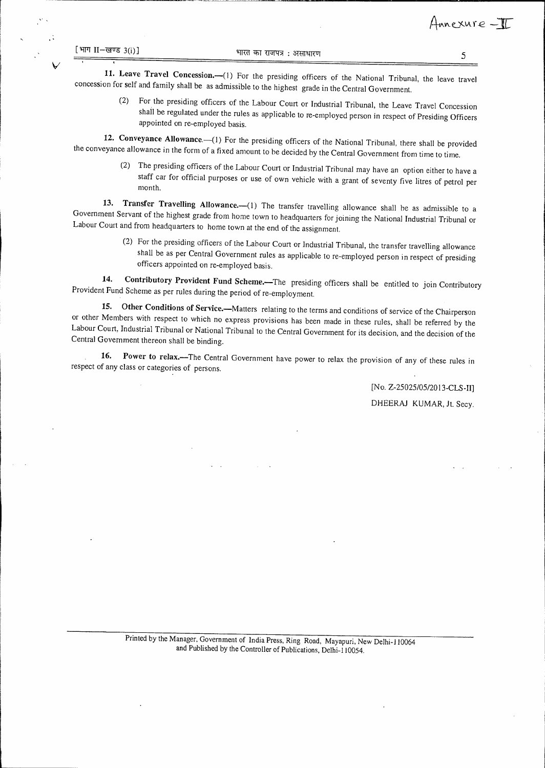V

**11. Leave Travel Concession.—(l**) For the presiding officers of the National Tribunal, the leave travel concession for self and family shall be as admissible to the highest grade in the Central Government.

(2) For the presiding officers of the Labour Court or Industrial Tribunal, the Leave Travel Concession appointed on re-employed basis. shall be regulated under the rules as applicable to re-employed person in respect of Presiding Officers

**12. Conveyance Allowance.—(1)** For the presiding officers of the National Tribunal, there shall be provided the conveyance allowance in the form of a fixed amount to be decided by the Central Government from time to time.

(2) The presiding officers of the Labour Court or Industrial Tribunal may have an option either to have a staff car for official purposes or use of own vehicle with a grant of seventy five litres of petrol per month.

**13. Transfer Travelling Allowance.—(1)** The transfer travelling allowance shall be as admissible to a Government Servant of the highest grade from home town to headquarters for joining the National Industrial Tribunal or Labour Court and from headquarters to home town at the end of the assignment.

> (2) For the presiding officers of the Labour Court or Industrial Tribunal, the transfer travelling allowance shall be as per Central Government rules as applicable to re-employed person in respect of presiding officers appointed on re-employed basis.

**14. Contributory Provident Fund Scheme.—The** presiding officers shall be entitled to join Contributory Provident Fund Scheme as per rules during the period of re-employment.

**15. Other Conditions of Service.—Matters** relating to the terms and conditions of service of the Chairperson or other Members with respect to which no express provisions has been made in these rules, shall be referred by the Labour Court. Industrial Tribunal or National Tribunal to the Central Government for its decision, and the decision of the Central Government thereon shall be binding.

**16. Power to relax.—The** Central Government have power to relax the provision of any of these rules in respect of any class or categories of persons.

> [No. Z-25025/05/2013-CLS-II] DHEERAJ KUMAR, **it.** Secy.

Printed by the Manager, Government of India Press, Ring Road, Mayapuri, New Delhi-110064 and Published by the Controller of Publications, Delhi-110054.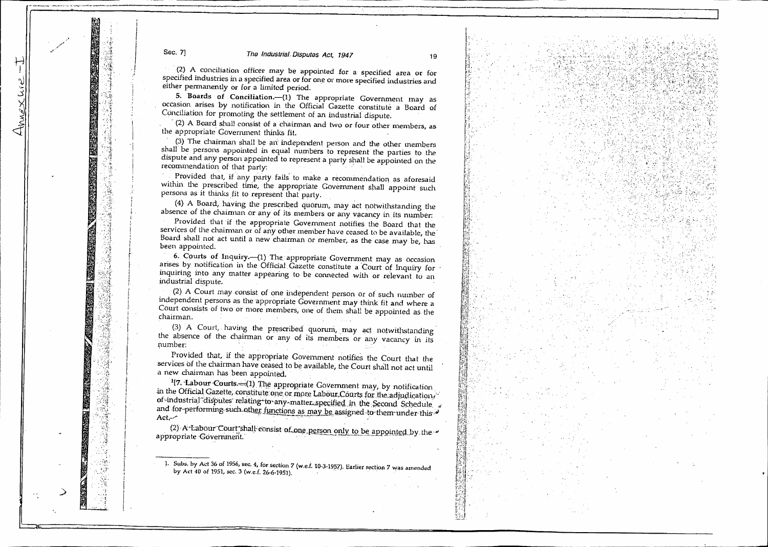a kata sa katika na kata sa na kata sa kata sa kata sa kata sa kata sa kata sa kata sa kata sa kata sa kata sa

(2) A conciliation officer may be appointed for a specified area or for specified industries in a specified area or for one or more specified industries and either permanently or for a limited period.

5. **Boards of Conciliation.—(1) The** appropriate Government may as occasion arises by notification in the Official Gazette constitute a Board of

 $C(2)$  A Board shall consist of a chairman and two or four other members, as the appropriate Government thinks fit.

(3) The chairman shall be an independent person and the other members shall' be persons appointed in equal numbers to represent the parties to the dispute and any person appointed to represent a party shall be appointed on the recommendation of that party:

• Provided that, if any party fails to make a recommendation as aforesaid within the prescribed time, the appropriate Government shall appoint such persons as it thinks fit to represent that party.

(4) A Board, having the prescribed quorum, may act notwithstanding the absence of the chairman or any of its members or any vacancy in its number:

Provided that if the appropriate Government notifies the Board that the services of the chairman or of any other member have ceased to be available, the Board shall not act until a new chairman or member, as the case may be, has been appointed.

**6. Courts of Inquiry.**—(1) The appropriate Government may as occasion arises by notification in the Official Gazette constitute a Court of Inquiry for inquiring into any matter appearing to be connected with or relevant to an industrial dispute.

(2) A Court may consist of one independent person or of such number of independent persons as the appropriate Government may think fit and where a Court consists of two or more members, one of them shall be appointed as the chairman. •

(3) A Court, having the prescribed quorum, may act notwithstanding the absence of the chairman or any of its members or any vacancy in its number:

• Provided that, if the appropriate Government notifies the Court that the services of the chairman have ceased to be available, the Court shall not act until a new chairman has been appointed.

 $17.$  Labour Courts.  $\left(1\right)$  The appropriate Government may, by notification in the Official Gazette, constitute one or more Labour Courts for the adjudication of-industrial disputes relating to any matter specified in the Second Schedule and for-performing such other functions as may be assigned-to-them under this and for-performing such other functions as may be assigned-to-them under this and for-

(2) A-Labour Court shall-consist of one person only to be appointed by appropriate Government.

1. Subs, by Act 36 of 1956, sec. 4, for section <sup>7</sup>(w.e.i. 10-3-4957). Earlier section 7 was amended by Act 40 of 1951, sec. 3 (w.e.f. 26-6-1951).

\_>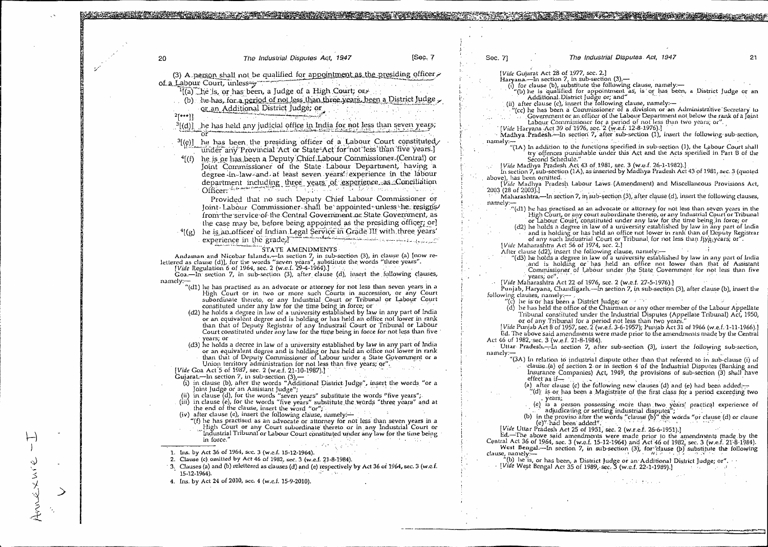|                            |                                                                                                                                                                                                                                          | [Sec. 7] |                             | The Industrial Disputes Act, 1947                                                                                                                                                      |  |
|----------------------------|------------------------------------------------------------------------------------------------------------------------------------------------------------------------------------------------------------------------------------------|----------|-----------------------------|----------------------------------------------------------------------------------------------------------------------------------------------------------------------------------------|--|
| 20                         | The Industrial Disputes Act, 1947                                                                                                                                                                                                        |          | Sec. 7]                     |                                                                                                                                                                                        |  |
|                            | (3) A person shall not be qualified for appointment as the presiding officer                                                                                                                                                             |          |                             | [Vide Gujarat Act 28 of 1977, sec. 2.]                                                                                                                                                 |  |
| of a Labour Court, unless— | ਲਾਹਿੰਦੇ ਹਨ। ਸ਼ਾਮਲ                                                                                                                                                                                                                        |          |                             | Haryana.—In section 7, in sub-section (3),—<br>(i) for clause (b), substitute the following clause, namely :-                                                                          |  |
|                            | <sup>1</sup> [(a) the is, or has been, a Judge of a High Court; or and the last of the last of the last of the last of the last of the last of the last of the last of the last of the last of the last of the last of the last of the l |          |                             | (b) he is qualified for appointment as, is or has been, a District Judge or an                                                                                                         |  |
|                            | (b) he has, for a period of not less than three years, been a District Judge ,                                                                                                                                                           |          |                             | Additional District Judge or, and"                                                                                                                                                     |  |
|                            | or an Additional District Judge; or                                                                                                                                                                                                      |          |                             | (ii) after clause (c), insert the following clause, namely:-<br>(cc) he has been a Commissioner of a division or an Administrative Secretary to                                        |  |
| $2$ [***]].                |                                                                                                                                                                                                                                          |          |                             | Government or an officer of the Labour Department not below the rank of a Joint                                                                                                        |  |
|                            | <sup>3</sup> [(d)] he has held any judicial office in India for not less than seven years;                                                                                                                                               |          |                             | Labour Commissioner for a period of not less than two years; or".                                                                                                                      |  |
|                            |                                                                                                                                                                                                                                          |          |                             | [Vide Haryana Act 39 of 1976, sec. 2 (w.e.f. 12-8-1976).]                                                                                                                              |  |
|                            | $^{3}$ [(e)] he has been the presiding officer of a Labour Court constituted                                                                                                                                                             |          | namely:—                    | Madhya Pradesh-In section 7, after sub-section (1), insert the following sub-section,                                                                                                  |  |
|                            | under any Provincial Act or State-Act for not less than five years.]                                                                                                                                                                     |          |                             | "(1A) In addition to the functions specified in sub-section (1), the Labour Court shall                                                                                                |  |
|                            | he is or has been a Deputy Chief Labour Commissioner (Central) or                                                                                                                                                                        |          |                             | try offences punishable under this Act and the Acts specified in Part B of the                                                                                                         |  |
| $^{4}[$ (f)                | Joint Commissioner of the State Labour Department, having a                                                                                                                                                                              |          |                             | Second Schedule."<br>[Vide Madhya Pradesh Act 43 of 1981, sec. 3 (w.e.f. 26-1-1982).]                                                                                                  |  |
|                            | degree in law and at least seven years' experience in the labour                                                                                                                                                                         |          |                             | In section 7, sub-section (1A), as inserted by Madhya Pradesh Act 43 of 1981, sec. 3 (quoted                                                                                           |  |
|                            |                                                                                                                                                                                                                                          |          | above), has been omitted.   |                                                                                                                                                                                        |  |
|                            | department including three years of experience as Conciliation<br>Officer:                                                                                                                                                               |          | 2003 (28 of 2003).]         | [Vide Madhya Pradesh Labour Laws (Amendment) and Miscellaneous Provisions Act,                                                                                                         |  |
|                            | Provided that no such Deputy Chief Labour Commissioner or                                                                                                                                                                                |          |                             | Maharashtra.—In section 7, in sub-section (3), after clause (d), insert the following clauses,                                                                                         |  |
|                            | Joint Labour Commissioner shall be appointed unless he resigns/                                                                                                                                                                          |          | namely:-                    |                                                                                                                                                                                        |  |
|                            | from the service of the Central Government or State Government, as                                                                                                                                                                       |          |                             | $\mathcal{L}(d)$ be has practised as an advocate or attorney for not less than seven years in the<br>High Court, or any court subordinate thereto, or any Industrial Court or Tribunal |  |
|                            | the case may be, before being appointed as the presiding officer; or                                                                                                                                                                     |          |                             | or Labour Court, constituted under any law for the time being in force; or                                                                                                             |  |
| $^{-4}$ [(g) $^{-1}$       | he is an officer of Indian Legal Service in Grade III with three years'                                                                                                                                                                  |          |                             | (d2) he holds a degree in law of a university established by law in any part of India                                                                                                  |  |
|                            | experience in the grade. The second construction of the contract of the second contract of the second contract of the second contract of the second contract of the second contract of the second contract of the second contr           |          |                             | and is holding or has held an office not lower in rank than of Deputy Registrar<br>of any such Industrial Court or Tribunal for not less than flyg years, or".                         |  |
|                            |                                                                                                                                                                                                                                          |          |                             | [Vide Maharashtra Act 56 of 1974, sec. 2.]                                                                                                                                             |  |
|                            | STATE AMENDMENTS<br>Andaman and Nicobar Islands.—In section 7, in sub-section (3), in clause (a) [now re-                                                                                                                                |          |                             | After clause (d2), insert the following clause, namely:—                                                                                                                               |  |
|                            | lettered as clause (d)], for the words "seven years", substitute the words "three years".                                                                                                                                                |          |                             | "(d3) he holds a degree in law of a university established by law in any part of India<br>and is holding or has held an office not lower than that of Assistant                        |  |
|                            | <i>[Vide</i> Regulation 6 of 1964, sec. 2 (w.e.f. 29-4-1964).]                                                                                                                                                                           |          |                             | Commissioner of Labour under the State Covernment for not less than five                                                                                                               |  |
| namely:-                   | Goa.—In section 7, in sub-section (3), after clause (d), insert the following clauses,                                                                                                                                                   |          |                             | years, or".                                                                                                                                                                            |  |
|                            | "(d1) he has practised as an advocate or attorney for not less than seven years in a                                                                                                                                                     |          |                             | [Vide Maharashtra Act 22 of 1976, sec. 2 (w.e.f. 27-5-1976).]<br>Punjab, Haryana, Chandigarh.—In section 7, in sub-section (3), after clause (b), insert the                           |  |
|                            | High Court or in two or more such Courts in succession, or any Court                                                                                                                                                                     |          | following clauses, namely:- |                                                                                                                                                                                        |  |
|                            | subordinate thereto, or any Industrial Court or Tribunal or Labour Court<br>constituted under any law for the time being in force; or                                                                                                    |          |                             | "(c) he is or has been a District Judge, or                                                                                                                                            |  |
|                            | (d2) he holds a degree in law of a university established by law in any part of India                                                                                                                                                    |          |                             | (d) he has held the office of the Chairman or any other member of the Labour Appellate<br>Tribunal constituted under the Industrial Disputes (Appellate Tribunal) Act, 1950,           |  |
|                            | or an equivalent degree and is holding or has held an office not lower in rank                                                                                                                                                           |          |                             | or of any Tribunal for a period not less than two years.                                                                                                                               |  |
|                            | than that of Deputy Registrar of any Industrail Court or Tribunal or Labour                                                                                                                                                              |          |                             | [Vide Punjab Act 8 of 1957, sec. 2 (w.e.f. 3-6-1957); Punjab Act 31 of 1966 (w.e.f. 1-11-1966).]                                                                                       |  |
|                            | Court constituted under any law for the time being in force for not less than five<br>years; or                                                                                                                                          |          |                             | Ed. The above said amendments were made prior to the amendments made by the Central                                                                                                    |  |
|                            | (d3) he holds a decree in law of a university established by law in any part of India                                                                                                                                                    |          |                             | Act 46 of 1982, sec. 3 (w.e.f. 21-8-1984).<br>Uttar Pradesh.-In section 7, after sub-section (3), insert the following sub-section,                                                    |  |
|                            | or an equivalent degree and is holding or has held an office not lower in rank                                                                                                                                                           |          | namely:—                    |                                                                                                                                                                                        |  |
|                            | than that of Deputy Commissioner of Labour under a State Government or a<br>Union territory administration for not less than five years; or".                                                                                            |          |                             | "(3A) In relation to industrial dispute other than that referred to in sub-clause (i) of                                                                                               |  |
|                            | [Vide Goa Act 5 of 1987, sec. 2 (w.e.f. 21-10-1987).]                                                                                                                                                                                    |          |                             | clause (a) of section 2 or in section 4 of the Industrial Disputes (Banking and<br>Insurance Companies) Act, 1949, the provisions of sub-section (3) shall have                        |  |
|                            | Gujarat.—In section 7, in sub-section $(3)$ ,—                                                                                                                                                                                           |          |                             | effect as if—                                                                                                                                                                          |  |
|                            | (i) in clause (b), after the words "Additional District Judge", insert the words "or a                                                                                                                                                   |          |                             | (a) after clause (c) the following new clauses (d) and (e) had been added:-                                                                                                            |  |
|                            | Joint Judge or an Assistant Judge"; [<br>in clause (d), for the words "seven years" substitute the words "five years";                                                                                                                   |          |                             | "(d) is or has been a Magistrate of the first class for a period exceeding two                                                                                                         |  |
|                            | (iii) in clause (e), for the words "five years" substitute the words "three years" and at                                                                                                                                                |          |                             | . years;<br>(e) is a person possessing more than two years' practical experience of                                                                                                    |  |
|                            | the end of the clause, insert the word "or";                                                                                                                                                                                             |          |                             | adjudicating or settling industrial disputes";                                                                                                                                         |  |
|                            | (iv) after clause (e), insert the following clause, namely:-<br>"(f) he has practised as an advocate or attorney for not less than seven years in a                                                                                      |          |                             | (b) in the proviso after the words "clause (b)" the words "or clause (d) or clause                                                                                                     |  |
|                            | High Court or any Court subordinate thereto or in any Industrial Court or                                                                                                                                                                |          |                             | (e)" had been added".<br>[Vide Uttar Pradesh Act 25 of 1951, sec. 2 (w.r.e.f. 26-6-1951).]                                                                                             |  |
|                            | Industrial Tribunal or Labour Court constituted under any law for the time being                                                                                                                                                         |          |                             | Ed.-The above said amendments were made prior to the amendments made by the                                                                                                            |  |
|                            | in force."                                                                                                                                                                                                                               |          |                             | Central Act 36 of 1964, sec. 3 (w.e.f. 15-12-1964) and Act 46 of 1982, sec. 3 (w.e.f. 21-8-1984).                                                                                      |  |
|                            | 1. Ins. by Act 36 of 1964, sec. 3 (w.e.f. 15-12-1964).                                                                                                                                                                                   |          | clause, namely:-            | West Bengal.—In section 7, in sub-section (3), for clause (b) substitute the following                                                                                                 |  |
|                            | 2. Clause (c) omitted by Act 46 of 1982, sec. 3 (w.e.f. 21-8-1984).                                                                                                                                                                      |          |                             | $\tilde{f}'(b)$ he is, or has been, a District Judge or an Additional District Judge; or".                                                                                             |  |
|                            | 3. Clauses (a) and (b) relettered as clauses (d) and (e) respectively by Act 36 of 1964, sec. 3 (w.e.f.<br><b>CONTRACTOR</b>                                                                                                             |          |                             | [Vide West Bengal Act 35 of 1989, sec. 3 (w.e.f. 22-1-1989).]                                                                                                                          |  |
| 15-12-1964).               | 4. Ins. by Act 24 of 2010, sec. 4 (w.e.f. 15-9-2010).                                                                                                                                                                                    |          |                             | <b>Contract</b><br>and statement                                                                                                                                                       |  |
|                            |                                                                                                                                                                                                                                          |          |                             |                                                                                                                                                                                        |  |
|                            |                                                                                                                                                                                                                                          |          |                             |                                                                                                                                                                                        |  |
|                            |                                                                                                                                                                                                                                          |          |                             |                                                                                                                                                                                        |  |

 $\propto$ 

Annéxure - I

 $\mathcal{S}_{\mathcal{S}}$ 

 $\rightarrow$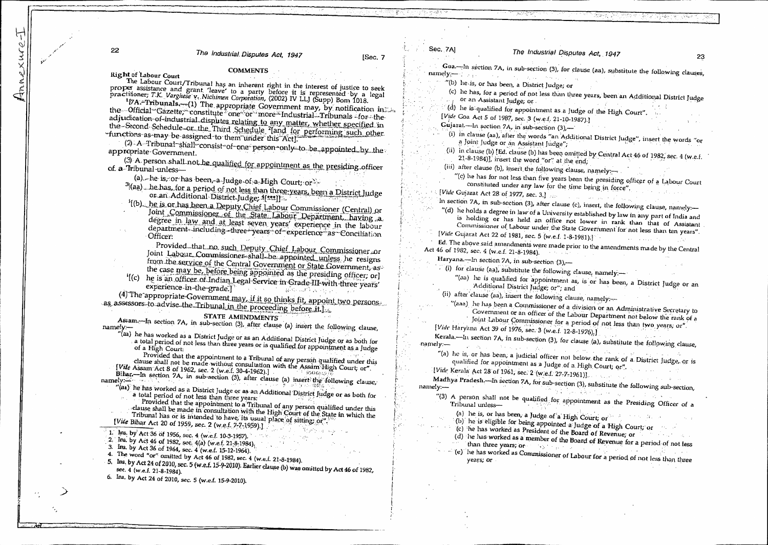22

The Industrial Disputes Act, 1947

[Sec. 7

#### **COMMENTS**

Right of Labour Court

The Labour Court/Tribunal has an inherent right in the interest of justice to seek proper assistance and grant 'leave' to a party before it is represented by a legal practitioner; T.K. Varghese v. Nichimen Corporation, (2002) IV LLJ (Supp) Bom 1018.

<sup>1</sup>[7A.<sup>2</sup>Tribunals,--(1) The appropriate Government may, by notification in the the Official Gazette, constitute one or more Industrial Tribunals for the adjudication-of-industrial disputes relating to any matter, whether specified in the Second Schedule or the Third Schedule <sup>2</sup>land for performing such other "functions as may be assigned to them under this Act].

(2) A Tribunal shall-consist of one person only to be appointed by the appropriate-Government.

(3) A person shall not be qualified for appointment as the presiding officer of a Tribunal unless-

(a) he is, or has been, a Judge of a High Court, or

<sup>3</sup>[(aa) \_ he has, for a period of not less than three-years, been a District Judge or an Additional District Judge, 4[\*\*\*]]

<sup>5</sup>[(b) he is or has been a Deputy Chief Labour Commissioner (Central) or Joint Commissioner of the State Labour Department, having a degree in law and at least seven years' experience in the labour department including three years of experience as Conciliation Officer:

Provided that no such Deputy Chief Labour Commissioner or Joint Labour Commissioner shall be appointed unless he resigns

from the service of the Central Government or State Government, as the case may be, before being appointed as the presiding officer; or]

'[(c) he is an officer of Indian Legal Service in Grade III with three years' experience in the grade.] and the same of the same of the same of the

(4) The appropriate Government may, if it so thinks fit, appoint two persons. as assessors to advise the Tribunal in the proceeding before it.

STATE AMENDMENTS

Assam.-In section 7A, in sub-section (3), after clause (a) insert the following clause, namely:-

...<br>"(aa) he has worked as a District Judge or as an Additional District Judge or as both for a total period of not less than three years or is qualified for appointment as a Judge

Provided that the appointment to a Tribunal of any person qualified under this clause shall not be made without consultation with the Assam High Court, or". [Vile Assam Act 8 of 1962, sec. 2 (w.e.f. 30-4-1962).]

Bihar,-In section 7A, in sub-section (3), after clause (a) insert the following clause, namely:-

- "(aa) he has worked as a District Judge or as an Additional District Judge or as both for a total period of not less than three years:
	- Provided that the appointment to a Tribunal of any person qualified under this clause shall be made in consultation with the High Court of the State in which the

Tribunal has or is intended to have, its usual place of sitting or". [Vide Bihar Act 20 of 1959, sec. 2 (w.e.f. 7-7-1959).]

- 1. Ins. by Act 36 of 1956, sec. 4 (w.e.f. 10-3-1957).
- 2. Ins. by Act 46 of 1982, sec. 4(a) (w.e.f. 21-8-1984).
- 3. Ins. by Act 36 of 1964, sec. 4 (w.e.f. 15-12-1964).
- 

4. The word "or" omitted by Act 46 of 1982, sec. 4 (w.e.f. 21-8-1984).

- 5. Ins. by Act 24 of 2010, sec. 5 (w.e.f. 15-9-2010). Earlier clause (b) was omitted by Act 46 of 1982, sec. 4 (w.e.f. 21-8-1984).
- 6. Ins. by Act 24 of 2010, sec. 5 (w.e.f. 15-9-2010).

Sec. 7Al The Industrial Disputes Act, 1947 23 Goa.<sup>---In</sup> section 7A, in sub-section (3), for clause (aa), substitute the following clauses, namely and the state of the state of the state of the state of the state of the state of the state of the state of the state of the state of the state of the state of the state of the state of the state of the state of the "(b) he is, or has been, a District Judge; or (c) he has, for a period of not less than three years, been an Additional District Judge or an Assistant Judge, or (d) he is qualified for appointment as a Judge of the High Court". [Vide Goa Act 5 of 1987, sec. 3 (w.e.f. 21-10-1987).] Gujarat.---ln section 7A, in sub-section (3),-(i) in clause (aa), after the words "an Additional District Judge", insert the words "or a Joint Judge or an Assistant Judge"; (ii) in clause (b) [Ed. clause (b) has been omitted by Central Act 46 of 1982, sec. 4 (w.e.f. 21-8-1984)], insert the word "or" at the end; (iii) after clause (b), insert the following clause, namely:-"(c) he has for not less than five years been the presiding officer of a Labour Court constituted under any law for the time being in force". [Vide Gujarat Act 28 of 1977, sec. 3.] In section 7A, in sub-section (3), after clause (c), insert, the following clause, namely-"(d) he holds a degree in law of a University established by law in any part of India and is holding or has held an office not lower in rank than that of Assistant Commissioner of Labour under the State Government for not less than ten years". [Vide Gujarat Act 22 of 1981, sec. 5 (w.e.f. 1-8-1981).]  $\Delta\phi = 1.4111\pm0.11$ Ed. The above said amendments were made prior to the amendments made by the Central Act 46 of 1982, sec. 4 (w.e.f. 21-8-1984). Haryana.-In section 7A, in sub-section (3),- $($ i) for clause (aa), substitute the following clause, namely. "(aa) he is qualified for appointment as, is or has been, a District Judge or an Additional District Judge; or"; and (ii) after clause (aa), insert the following clause, namely :-"(aaa) he has been a Commissioner of a division or an Administrative Secretary to Government or an officer of the Labour Department not below the rank of a Joint Labour Commissioner for a period of not less than two years, or". [Vide Haryana Act 39 of 1976, sec. 3 (w.e.f. 12-8-1976).] Kerala.---In section 7A, in sub-section (3), for clause (a), substitute the following clause, namely:- $\label{eq:1} \mathbb{E}\left[\left\langle \mathcal{N}(\mathbf{v}_1,\mathbf{v}_2,\mathbf{v}_3)\right\rangle\right] = \mathcal{E}_{\mathbf{v}_1} \mathbb{E}\left[\left\langle \mathcal{N}(\mathbf{v}_1,\mathbf{v}_2)\right\rangle\right] = \mathbb{E}\left[\left\langle \mathcal{N}(\mathbf{v}_2,\mathbf{v}_3)\right\rangle\right]$ "(a) he is, or has been, a judicial officer not below the rank of a District Judge, or is qualified for appointment as a Judge of a High Court; or".

[Vide Kerala Act 28 of 1961, sec. 2 (w.e.f. 27-7-1961)]. Madhya Pradesh.---In section 7A, for sub-section (3), substitute the following sub-section,

namely:-제 날 12. 열 : 12. 4. 10 - 10 - 11

"(3) A person shall not be qualified for appointment as the Presiding Officer of a

(a) he is, or has been, a Judge of a High Court: or (b) he is eligible for being appointed a Judge of a High Court, or

(c) he has worked as President of the Board of Revenue; or

(d) The has worked as a member of the Board of Revenue for a period of not less than three years; or  $\mathbb{R}^n$  ,  $\mathbb{R}^n$  ,  $\mathbb{R}^n$ 

(e) he has worked as Commissioner of Labour for a period of not less than three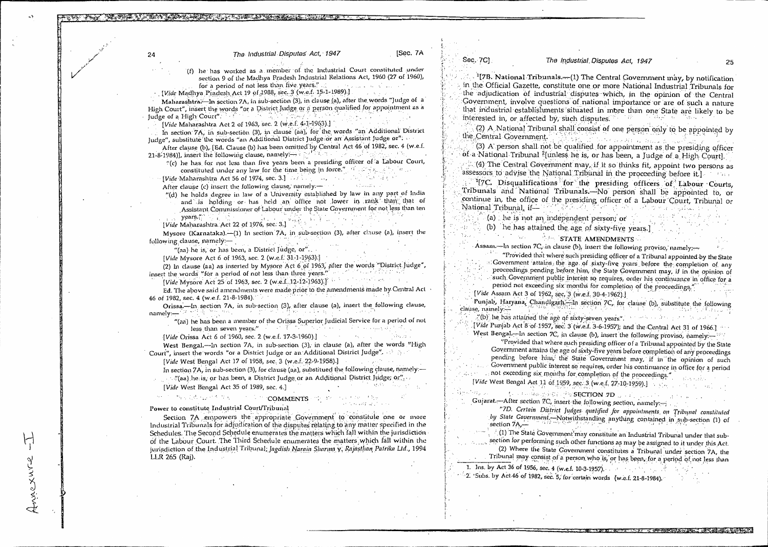24 **The Industrial Disputes Act. 1947** [Sec. 7A

.(f) lie has worked as a member of. the Industrial Court constituted .under section 9 of the Madhya Pradesh Industrial Relations Act, 1960 (27 of 1960), for a period of not less than five years."

 $\cdot$  *[Vide Madhya Piadesh Act 19 of 1988, sec. 3 (w.e.f. 15-1-1989).]* 

Maliarashtra:-In section 7A, in sub-section (3), in clause (a), after the words "Judge of a High Court", insert the words "or a District Judge or a person qualified for appointment as a Judge of a High Court".

[Vide Maharashtra Act 2 of 1963, sec. 2 (w.e.f. 4-1-1963).]

In section 7A, in sub-section (3), in clause (aa), for the words "an Additional District Judge", substitute the words "an Additional District Judge or an Assistant Judge or".

After clause (b), [Ed. Clause (b) has been omitted by Central Act 46:of 1982; sec. 4 (w.e.f. 1984). 21-8-1984)], insert the following clause, namely. $\rightarrow$ 

*'!(c)* Ile has, for not less than five years been a presiding officer of :a Labour Court, constituted under any law for the time being in force.".  $\alpha$  ,  $\alpha$  ,  $\beta$  is a set of  $\alpha$  , ...

[Vide-Maharashtra Act 56 of 1974, sec. 3.] We have a section of the state of the state of the state of the state of the state of the state of the state of the state of the state of the state of the state of the state of th After clause *(c)* insert.the following clause,' namely:— •

"(d) he holds degree in law of a University established by law in any part of India and is holding or has held an office not lower in rank than that of

Assistant Commissioner of Labour under the State Government for not less than ten years, *[Vide Maharashtra*. Act 22 of 1976, sec. 3.]

Mysore (Karnataka).—(1) In section 7A, in\_sub-section (3), after clause (a), insert the following clause, namely :-. . . •.

"(aa) he is, or has been, a District Judge, or"...

[Vide Mysore Act 6 of 1963, sec. 2 (w.e.f. 31-1-1963).]

(2) In clause (aa) as inserted by Mysore Act 6.01 1963, after the words "District. Judge",  $\pm$  the words "for a neriod of not less than three years." insert the words "for a period of not less than three years."

*[Vole* Mysore is:et 25 of 1963, sec. 2 (w.e.f...1 2-12:1963)] -• • • • , . .

Fritt my series from the calledge of the contraction of the amendments made by Central Act

46 of 1982, sec. 4 (w.e.f. 21-8-1984).<br>
Orissa.—In section 7A, in sub-section (3), after clause (a), insert the following clause,<br>
papely namely:—' •

"(an) he has been a member of the Orissa Superior Judicial Service for a period of not less than seven years." • • • 1999.

*[Vide* Orissa Act 6 of 1960, sec. 2 (w.e.f. 17-3-1960).]

West Bengal.—In section 7A, in sub-section (3), in clause (a), after the words "High Court", insert the words "or a District Judge or an Additional District Judge".  $\rightarrow$   $\rightarrow$ 

*[Vide West Bengal Act 17 of 1958, sec, 3 (w.e.f.: 22-9-1958).]* 

In section 7A, in sub-section (3), for clause (aa), substitued the following clause, namely — .  $\#$  (aa) he is, or has been, a District Judge or an Additional District Judge; or  $\mathcal{C}_{\mathcal{C}}$ 

• . .

..

*[Vide West Bengal Act 35 of 1989, sec. 4.]* 

Annexure

 $\mathbb{C}^d$  has the first  $\mathbb{C}^d$  of  $\mathbb{C}^d$  comments on the first  $\mathbb{C}^d$ Power to constitute Industrial Court/Tribunal .

Section 7A empowers the appropriate Government to constitute one or more Industrial Tribunals for adjudication of the disputes relating to any matter specified in the Schedules. The Second Schedule enumerates the matters which fall within the jurisdiction of the Labour Court. The Third Schedule enumerates the matters which fall within the jurisdiction of the Industrial Tribunal; *Jagdish Narain Sharma y; Rajasthan Patrika Ltd.*, 1994 LIR 265 (Raj).

Seq. 7C} *The industrial. Disputes Act, 1947* 25

<sup>1</sup>[7B. National Tribunals. $-(1)$  The Central Government may, by notification in the Official Gazette, constitute one or more National Industrial Tribunals for the adjudication of industrial disputes which, in the opinion of the Central Government, involve questions of national importance or are of such a nature that industrial establishments situated in more than one State are likely to be interested in, or affected by, such disputes.

 $\sim$  (2) A National Tribunal shall consist of one person only to be appointed by the Central Government.

Central Government.<br>(3) A person shall not be qualified for appointment as the presiding officer of. a National Tribunal ?[unless he is, or has been, a Judge of a High Court].

 $\cdot$   $\in$  . (4) The Central Government may, if it so thinks fit, appoint two persons as assessors to advise the National Tribunal in the proceeding before it.]  $\cdots$  , <sup>1</sup>[7C. Disqualifications for the presiding officers of Labour Courts, Tribunals and National Tribunals.—No person shall be appointed to, or

continue in, the office of the presiding officer of a Labour Court, Tribunal or  $\frac{1}{2}$  . National Tribunal, if  $\frac{1}{2}$  ,  $\frac{1}{2}$  ,  $\frac{1}{2}$  ,  $\frac{1}{2}$  ,  $\frac{1}{2}$ ota e un coloxíado de

.(a) . he is not an independent person; or

(b) he has attained the age of sixty-five years.]

**• STATE AMENDMENTS** 

Assam.—In section  $7C<sub>r</sub>$  in clause (b), insert the following proviso, namely;—

"Provided that where such presiding officer of a Tribunal appointed by the State 2:Government 'attains the. age. of sixty-five years before the completion of *any*  proceedings pending before him, the State Government may, if in the opinion of such Government public interest so requires, order his continuance in office for a period not exceeding six months for completion of the proceedings." *[Vide Assam Act 3 of 1962, sec, 3 (w.e.f. 30-4-1962).]* 

Punjab, Haryana, Chandigarh—In section 7C, for clause (b), substitute the following clanse, namely .

 $\frac{1}{2}$ (b) he has attained the age of sixty-seven years". ' ' ' ' ' ' ' ' ' ' ' ' ' '

<sup>1</sup> (*Vide* Punjab Act 8-of 1957, Sec: 3 (w.e.f. 3-6-1957); and the Central Act 31 of 1966.]<br>West Bengal .7-In section 7C, in clause (b), insert the following proviso, namely :-

"Provided that where such presiding officer of a Tribunal appointed by the State Government attains the age of sixty five years before completion of any proceedings pending before him; the State Government may, if in the opinion of such Government public interest so requires, order his continuance in office for a period <sup>i</sup>.. <sup>t</sup> . • not exceeding six months for, completion of the proceedings.". 1. *[Vide* West Bengal. Act 11 of*.* 1959, *sec-3* (w.e.f, ,

<sup>I</sup>?.. . : .. ,,,.. ;• , ,-.::: :,' -.:.- SECT.ION .70 ... . : . . . • .•. ".

Gujarat.--After section 7C, insert the following section, namely:--

"7D. Certain District Judges qualified for appointments on Tribunal constituted *.by Slate .Gopertunint..7Nsotwithst.ancling anything* contained in \_sub-section (1) of • . section 7A,—. ,

.

..,...0,-nwmar..,.5.41116-4LVAtigg4i..'4411F03P:' : ,41\*0131W,r.46 r' •

. , .. - - ., .:. (1) The State boverruneni'rnay constitute an Industrial Tribunal under that sub section for performing such other functions as may be assigned to it under this Act. (2) Where the State Government constitutes a Tribunal under section 7A, the

Tribunal may consist of a person who is, or has been, for a period of not less than

1. Ins. by Act 36 of 1956, sec. 4 (w.e.f. 10-3-1957).

 $-2.$  'Subs. by Act.46 of 1982, sec. 5, for certain words (w.e.f. 21-8-1984),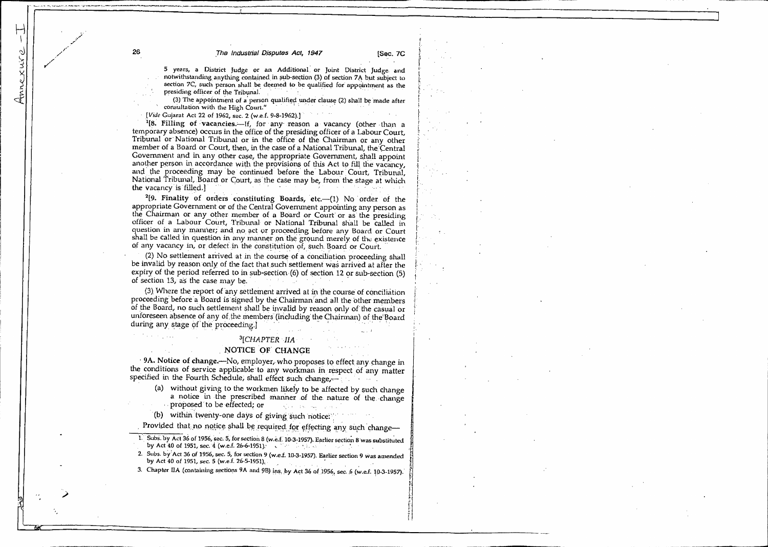5 years, a District Judge or an Additional. or Joint District Judge: and notwithstanding anything contained in sub-section (3) of section 7A but subject to section 7C, such person shall be deemed to be qualified for appointment as the presiding officer of the Tribunal. <sup>7</sup> .

(3) The appointment of a person qualified under clause (2) shall be made after •• consultation with the High Court." •

*.[Vide* Gujarat Act 22 of 1962, sec. 2 (w.e.f. 9-8-1962).)

<sup>1</sup>[8. Filling of vacancies.—If, for any reason a vacancy (other than a temporary absence) occurs in the office of the presiding officer of a Labour Court, Tribunal or. National Tribunal or in the office of the Chairman or any other member of a Board or Court, then, in the case of a National Tribunal, the Central Government and in any other case, the appropriate Government, shall appoint another person in accordance with the provisions of this Act to fill the vacancy, and the proceeding may be continued before the Labour Court, Tribunal, National Tribunal, Board or Court, as the case may be, from the stage at which the vacancy is filled.]

**. . . <sup>2</sup>[9. Finality of orders constituting Boards, etc.—(1)** No order of the appropriate Government or of the Central Government appointing any person as the Chairman or any other member of a Board or Court' or as the presiding officer of a Labour Court, Tribunal or National Tribunal shall be called in question in any manner; and no act or proceeding before any Board or Court shall be called in question in any manner on the ground merely of the existence of any vacancy in, or defect in the constitution of, such Board or Court.

(2) No settlement arrived at in the course of a conciliation proceeding shall be invalid by reason only of the fact that such settlement was arrived at after the expiry of the period referred to in sub-section.(6) of section 12 or sub-section (5) of section 13, as the case may be.

(3). Where the report of any settlement arrived at in the course of conciliation proceeding before a Board is signed by the Chairman and all the other members of the Board, no such settlement shall be invalid by reason only of the casual or unforeseen absence of any of the members (including the Chairman) of the Board during any stage of the proceeding.]

#### *<sup>3</sup>1CHAPTER -IIA*

#### *,* NOTICE Of.CHANGE

9A. Notice of change.—No, employer,, who proposes to effect **any, change** in the conditions of service applicable to any workman in respect of any matter specified in the Fourth Schedule, shall effect such change,-

(a) without giving to the workmen likely to be affected by such change a notice in the prescribed manner of the nature of the change **Proposed** to be effected; or

(b) within twenty-one days of giving such notice.

Provided that no notice shall be required for effecting any such change-

- 1. Subs. by Act 36 of 1956, *sec.* 5, for section 8 (w.e.f. 10-3-1957). Earlier section 8 was substituted by Act 40 of 1951, sec. 4 (w.e.f. 26-6-1951).
- 2. Subs. by Act 36 of 1956, *sec.* 5, for section 9 *(w.e.f.* 10-3-1957). Earlier section 9 Was amended by Act 40 of 1951, *sec.* 5 (w.e.f. 26-5-1951),
- 3. Chapter IIA (containing sections 9A and 9B) ins, by Act 36 of 1956, sec. 6 (w.e.f. 10-3-1957).

1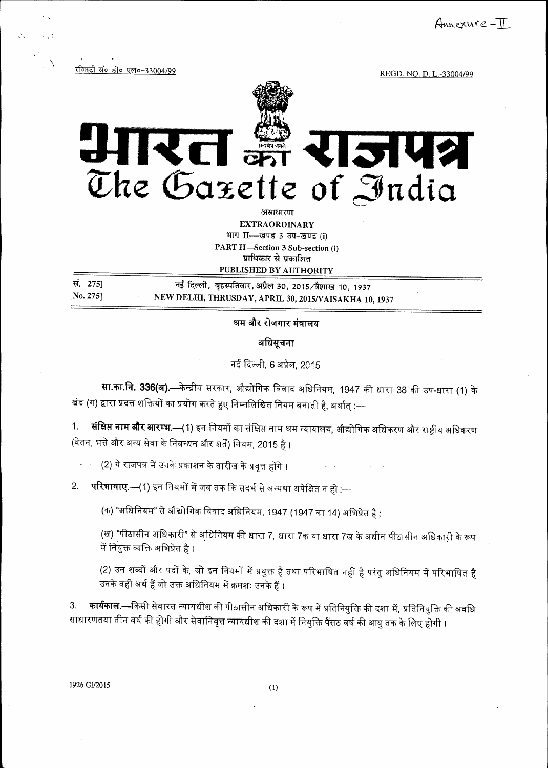Annexure-TT

रजिस्ट्री सं० डी० एल०-33004/99

REGD. NO. D. L.-33004/99

# रित 3142 The Gazette of India

असाधारण **EXTRAORDINARY** भाग II- खण्ड 3 उप-खण्ड (j) PART II-Section 3 Sub-section (i) प्राधिकार से प्रकाशित PUBLISHED BY AUTHORITY

| सं. 275] | नई दिल्ली, बृहस्पतिवार, अप्रैल 30, 2015/वैशाख 10, 1937 |
|----------|--------------------------------------------------------|
| No. 275] | NEW DELHI, THRUSDAY, APRIL 30, 2015/VAISAKHA 10, 1937  |

## श्रम और रोजगार मंत्रालय

अधिसूचना

नई दिल्ली, 6 अप्रैल, 2015

**सा.का.नि. 336(अ).—**केन्द्रीय सरकार, औद्योगिक विवाद अधिनियम, 1947 की धारा 38 की उप-धारा (1) के खंड (ग) द्वारा प्रदत्त शक्तियों का प्रयोग करते हुए निम्नलिखित नियम बनाती है, अर्थात् :—

1. **संक्षिप्त नाम और आरम्भ.—(**1) इन नियमों का संक्षिप्त नाम श्रम न्यायालय, औद्योगिक अधिकरण और राष्ट्रीय अधिकरण (वेतन, भत्ते और अन्य सेवा के निबन्धन और शर्तें) नियम, 2015 है ।

(2) ये राजपत्र में उनके प्रकाशन के तारीख के प्रवृत्त होंगे ।

परिभाषाए.—(1) इन नियमों में जब तक कि सदर्भ से अन्यथा अपेक्षित न हो :— 2.

(क) "अधिनियम" से औद्योगिक विवाद अधिनियम, 1947 (1947 का 14) अभिप्रेत है ;

(ख) "पीठासीन अधिकारी" से अधिनियम की धारा 7, धारा 7क या धारा 7ख के अधीन पीठासीन अधिकारी के रूप में नियुक्त व्यक्ति अभिप्रेत है ।

(2) उन शब्दों और पदों के, जो इन नियमों में प्रयुक्त है तथा परिभाषित नहीं है परंतु अधिनियम में परिभाषित है उनके वही अर्थ हैं जो उक्त अधिनियम में क्रमशः उनके हैं ।

**कार्यकाल.—**किसी सेवारत न्यायधीश की पीठासीन अधिकारी के रूप में प्रतिनियुक्ति की दशा में, प्रतिनियुक्ति की अवधि  $3.$ साधारणतया तीन वर्ष की होगी और सेवानिवृत्त न्यायधीश की दशा में नियुक्ति पैंसठ वर्ष की आयु तक के लिए होगी ।

1926 GI/2015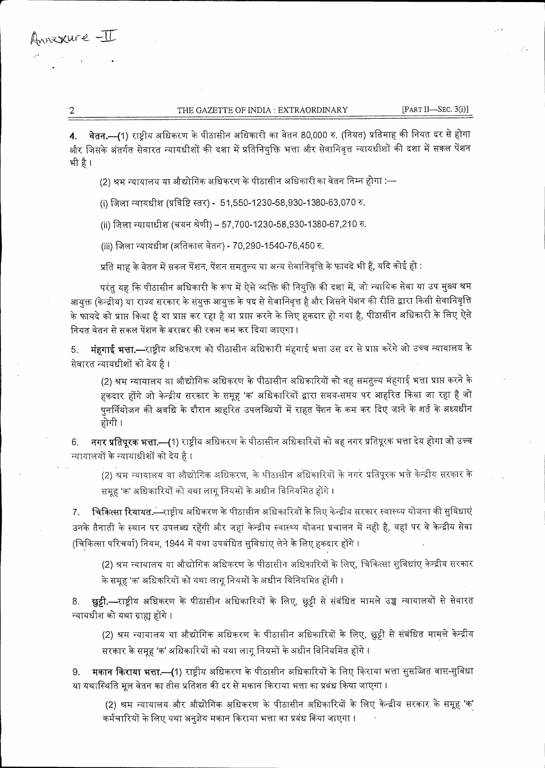#### THE GAZETTE OF INDIA : EXTRAORDINARY

 $[PART II—SEC. 3(i)]$ 

वेतन.---(1) राष्ट्रीय अधिकरण के पीठासीन अधिकारी का वेतन 80,000 रु. (नियत) प्रतिमाह की नियत दर से होगा  $\overline{4}$ . और जिसके अंतर्गत सेवारत न्यायधीशों की दशा में प्रतिनियुक्ति भत्ता और सेवानिवृत्त न्यायधीशों की दशा में सकल पेंशन भी है।

(2) श्रम न्यायालय या औद्योगिक अधिकरण के पीठासीन अधिकारी का वेतन निम्न होगा :—

(i) जिला न्यायधीश (प्रविष्टि स्तर) - 51,550-1230-58,930-1380-63,070 रु.

(ii) जिला न्यायाधीश (चयन श्रेणी) -- 57,700-1230-58,930-1380-67,210 रु.

(iii) जिला न्यायधीश (अतिकाल वेतन) - 70,290-1540-76,450 रु.

प्रति माह के वेतन में सकल पेंशन, पेंशन समतल्य या अन्य सेवानिवृत्ति के फायदे भी हैं, यदि कोई हो :

परंतु यह कि पीठासीन अधिकारी के रूप में ऐसे व्यक्ति की नियुक्ति की दशा में, जो न्यायिक सेवा या उप मुख्य श्रम आयक्त (केन्द्रीय) या राज्य सरकार के संयुक्त आयुक्त के पद से सेवानिवृत्त है और जिसने पेंशन की रीति द्वारा किसी सेवानिवृत्ति के फायदे को प्राप्त किया है या प्राप्त कर रहा है या प्राप्त करने के लिए हकदार हो गया है, पीठासीन अधिकारी के लिए ऐसे नियत वेतन से सकल पेंशन के बराबर की रकम कम कर दिया जाएगा।

मंहगाई भत्ता.—राष्ट्रीय अधिकरण को पीठासीन अधिकारी मंहगाई भत्ता उस दर से प्राप्त करेंगे जो उच्च न्यायालय के 5. सेवारत न्यायधीशों को देय है ।

(2) श्रम न्यायालय या औद्योगिक अधिकरण के पीठासीन अधिकारियों को वह समतुल्य मंहगाई भत्ता प्राप्त करने के हकदार होंगे जो केन्द्रीय सरकार के समूह 'क' अधिकारियों द्वारा समय-समय पर आहरित किया जा रहा है जो पुनर्नियोजन की अवधि के दौरान आहरित उपलब्धियों में राहत पेंशन के कम कर दिए जाने के शर्त के अध्यधीन होगी ।

नगर प्रतिपूरक भत्ता.—(1) राष्ट्रीय अधिकरण के पीठासीन अधिकारियों को वह नगर प्रतिपूरक भत्ता देय होगा जो उच्च 6. न्यायालयों के न्यायाधीशों को देय है।

(2) श्रम न्यायालय या औद्योगिक अधिकरण, के पीठासीन अधिकारियों के नगर प्रतिपूरक भत्ते केन्द्रीय सरकार के समूह 'क' अधिकारियों को यथा लागू नियमों के अधीन विनियमित होंगे ।

चिकित्सा रियायत.—राष्ट्रीय अधिकरण के पीठासीन अधिकारियों के लिए केन्द्रीय सरकार स्वास्थ्य योजना की सुविधाएं 7. उनके तैनाती के स्थान पर उपलब्ध रहेंगी और जहां केन्द्रीय स्वास्थ्य योजना प्रचालन में नही है, वहां पर वे केन्द्रीय सेवा (चिकित्सा परिचर्या) नियम, 1944 में यथा उपबंधित सुविधाए लेने के लिए हकदार होंगे ।

(2) श्रम न्यायालय या औद्योगिक अधिकरण के पीठासीन अधिकारियों के लिए, चिकित्सा सुविधांए केन्द्रीय सरकार के समूह 'क' अधिकरियों को यथा लागू नियमों के अधीन विनियमित होंगी ।

छुट्टी.—राष्ट्रीय अधिकरण के पीठासीन अधिकारियों के लिए, छुट्टी से संबंधित मामले उच्च न्यायालयों से सेवारत 8. न्यायधीश को यथा ग्राह्य होंगे ।

(2) श्रम न्यायालय या औद्योगिक अधिकरण के पीठासीन अधिकारियों के लिए, छुट्टी से संबंधित मामले केन्द्रीय सरकार के समूह 'क' अधिकारियों को यथा लागू नियमों के अधीन विनियमित होंगे ।

मकान किराया भत्ता.—(1) राष्ट्रीय अधिकरण के पीठासीन अधिकारियों के लिए किराया भत्ता सुसज्जित वास-सुविधा 9. या यथास्थिति मूल वेतन का तीस प्रतिशत की दर से मकान किराया भत्ता का प्रबंध किया जाएगा ।

(2) श्रम न्यायालय और औद्योगिक अधिकरण के पीठासीन अधिकारियों के लिए केन्द्रीय सरकार के समूह 'क' कर्मचारियों के लिए यथा अनुज्ञेय मकान किराया भत्ता का प्रबंध किया जाएगा ।

 $\overline{2}$ 

Annexure -II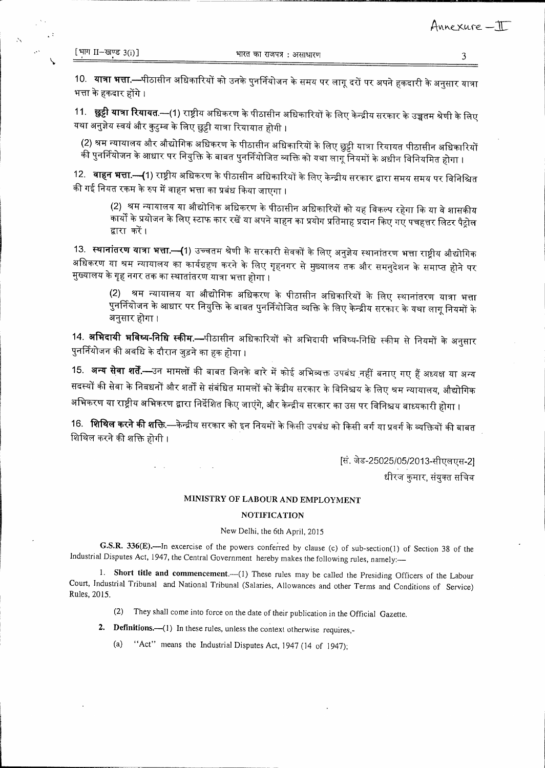10. **यात्रा भत्ता.—**पीठासीन अधिकारियों को उनके पुनर्नियोजन के समय पर लागू दरों पर अपने हकदारी के अनुसार यात्रा भत्ता के हकदार होंगे ।

11. **छुट्टी यात्रा रियायत**.—(1) राष्ट्रीय अधिकरण के पीठासीन अधिकारियों के लिए केन्द्रीय सरकार के उच्चतम श्रेणी के लिए यथा अनुज्ञेय स्वयं और कुटुम्ब के लिए छुट्टी यात्रा रियायात होगी ।

(2) श्रम न्यायालय और औद्योगिक अधिकरण के पीठासीन अधिकारियों के लिए छुट्टी यात्रा रियायत पीठासीन अधिकारियों की पुनर्नियोजन के आधार पर नियुक्ति के बाबत पुनर्नियोजित व्यक्ति को यथा लागूँ नियमों के अधीन विनियमित होगा ।

12. **वाहन भत्ता.—(**1) राष्ट्रीय अधिकरण के पीठासीन अधिकारियों के लिए केन्द्रीय सरकार द्वारा समय समय पर विनिश्चित की गई नियत रकम के रुप में वाहन भत्ता का प्रबंध किया जाएगा ।

(2) श्रम न्यायालय या औद्योगिक अधिकरण के पीठासीन अधिकारियों को यह विकल्प रहेगा कि या वे शासकीय .<br>कार्यों के प्रयोजन के लिए स्टाफ कार रखें या अपने वाहन का प्रयोग प्रतिमाह प्रदान किए गए पचहत्तर लिटर पैट्रोल द्वारा करें।

13. **स्थानांतरण यात्रा भत्ता.—{**1) उच्चतम श्रेणी के सरकारी सेवकों के लिए अनुज्ञेय स्थानांतरण भत्ता राष्ट्रीय औद्योगिक अधिकरण या श्रम न्यायालय का कार्यग्रहण करने के लिए गृहनगर से मुख्यालय तक और समनुदेशन के समाप्त होने पर मुख्यालय के गृह नगर तक का स्थातांतरण यात्रा भत्ता होगा ।

(2) श्रम न्यायालय या औद्योगिक अधिकरण के पीठासीन अधिकारियों के लिए स्थानांतरण यात्रा भत्ता .<br>पुनर्नियोजन के आधार पर नियुक्ति के बाबत पुनर्नियोजित व्यक्ति के लिए केन्द्रीय सरकार के यथा लागू नियमों के अनुसार होगा ।

14. **अभिदायी भविष्य-निधि स्कीम.—**पीठासीन अधिकारियों को अभिदायी भविष्य-निधि स्कीम से नियमों के अनुसार पुनर्नियोजन की अवधि के दौरान जुड़ने का हक होगा ।

15. **अन्य सेवा शर्तें.—**उन मामलों की बाबत जिनके बारे में कोई अभिव्यक्त उपबंध नहीं बनाए गए हैं अध्यक्ष या अन्य सदस्यों की सेवा के निबधनों और शर्तों से संबंधित मामलों को केंद्रीय सरकार के विनिश्चय के लिए श्रम न्यायालय, औद्योगिक अभिकरण या राष्ट्रीय अभिकरण द्वारा निर्देशित किए जाएंगे, और केन्द्रीय सरकार का उस पर विनिश्चय बाध्यकारी होगा ।

16. **शिथिल करने की शक्ति**.—केन्द्रीय सरकार को इन नियमों के किसी उपबंध को किसी वर्ग या प्रवर्ग के व्यक्तियों की बाबत शिथिल करने की शक्ति होगी ।

> [सं. जेड-25025/05/2013-सीएलएस-2] धीरज कुमार, संयुक्त सचिव

### MINISTRY OF LABOUR AND EMPLOYMENT

#### **NOTIFICATION**

#### New Delhi, the 6th April, 2015

G.S.R. 336(E).-In excercise of the powers conferred by clause (c) of sub-section(1) of Section 38 of the Industrial Disputes Act, 1947, the Central Government hereby makes the following rules, namely:-

1. Short title and commencement.-- (1) These rules may be called the Presiding Officers of the Labour Court, Industrial Tribunal and National Tribunal (Salaries, Allowances and other Terms and Conditions of Service) Rules, 2015.

> They shall come into force on the date of their publication in the Official Gazette.  $(2)$

2. Definitions.—(1) In these rules, unless the context otherwise requires,-

**College** 

"Act" means the Industrial Disputes Act, 1947 (14 of 1947);  $(a)$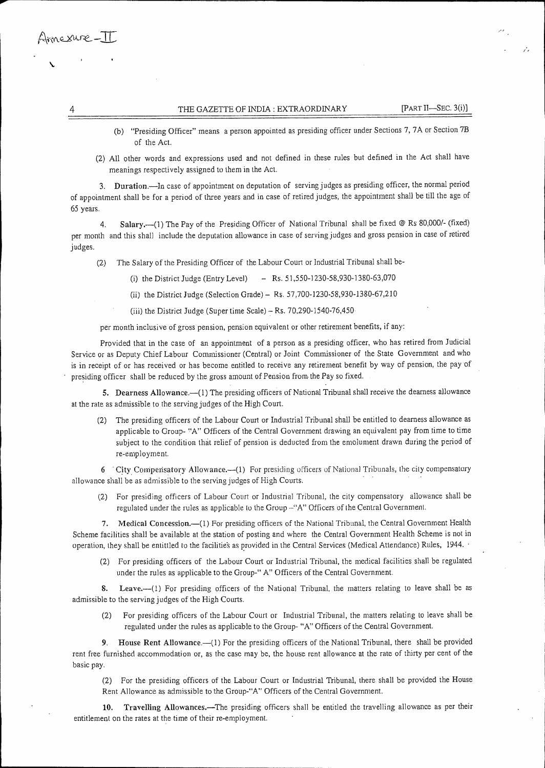### THE GAZETTE OF INDIA: EXTRAORDINARY [PART II—SEC. 3(i)]

- (b) "Presiding Officer" means a person appointed as presiding officer under Sections 7, 7A or Section 7B of the Act.
- (2) All other words and expressions used and not defined in these rules but defined in the Act shall have meanings respectively assigned to them in the Act.

3. Duration.—In case of appointment on deputation of serving judges as presiding officer, the normal period of appointment shall be for a period of three years and in case of retired judges, the appointment shall be till the age of 65 years.

4. Salary.—(1) The Pay of the Presiding Officer of National Tribunal shall be fixed @ Rs 80,000/- (fixed) per month and this shall include the deputation allowance in case of serving judges and gross pension in case of retired judges.

(2) The Salary of the Presiding Officer of the Labour Court or Industrial Tribunal shall be-

- (i) the District Judge (Entry Level) Rs. 51,550-1230-58,930-1380-63,070
- (ii) the District Judge (Selection Grade) Rs. 57,700-1230-58,930-1380-67,210

(iii) the District Judge (Super time Scale) — Rs. 70,290-1540-76,450

per month inclusive of gross pension, pension equivalent or other retirement benefits, if any:

Provided that in the case of an appointment of a person as a presiding officer, who has retired from Judicial Service or as Deputy Chief Labour Commissioner (Central) or Joint Commissioner of the State Government and who is in receipt of or has received or has become entitled to receive any retirement benefit by way of pension, the pay of presiding officer shall be reduced by the gross amount of Pension from. the Pay so fixed.

5. Dearness Allowance.—(1) The presiding officers of National Tribunal shall receive the dearness allowance at the rate as admissible to the serving judges of the High Court.

(2) The presiding officers of the Labour Court or Industrial Tribunal shall be entitled to dearness allowance as applicable to Group- 'A" Officers of the Central Government drawing an equivalent pay from time to time subject to the condition that relief of pension is deducted from the emolument drawn during the period of re-employment.

6 City, Coniperisatory Allowance.—(1) For presiding officers of National Tribunals, the city compensatory allowance shall be as admissible to the serving judges of High Courts.

(2) For presiding officers of Labour Court or Industrial Tribunal, the city compensatory allowance shall be regulated under the rules as applicable to the Group —"A" Officers of the Central Government.

7. Medical Concession.—(1) For presiding officers of the National Tribunal, the Central Government Health Scheme facilities shall be available at the station of posting and where the Central Government Health Scheme is not in operation, they shall be entittled to the facilitie's as provided in the Central Services (Medical Attendance) Rules, 1944. -

(2) For presiding officers of the Labour Court or Industrial Tribunal, the medical facilities shall be regulated under the rules as applicable to the Group-" A" Officers of the Central Government.

S. Leave.--(1) For presiding officers of the National Tribunal, the matters relating to leave shall be as admissible to the serving judges of the High Courts.

(2) For presiding officers of the Labour Court or Industrial Tribunal, the matters relating to leave shall be regulated under the rules as applicable to the Group- "A" Officers of the Central Government.

9. House Rent Allowance.—(1) For the presiding officers of the National Tribunal, there shall be provided rent free furnished accommodation or, as the case may be, the house rent allowance at the rate of thirty per cent of the basic pay.

(2) For the presiding officers of the Labour Court or Industrial Tribunal, there shall be provided the House Rent Allowance as admissible to the Group-"A" Officers of the Central Government.

10. Travelling Allowances.—The presiding officers shall be entitled the travelling allowance as per their entitlement on the rates at the time of their re-employment.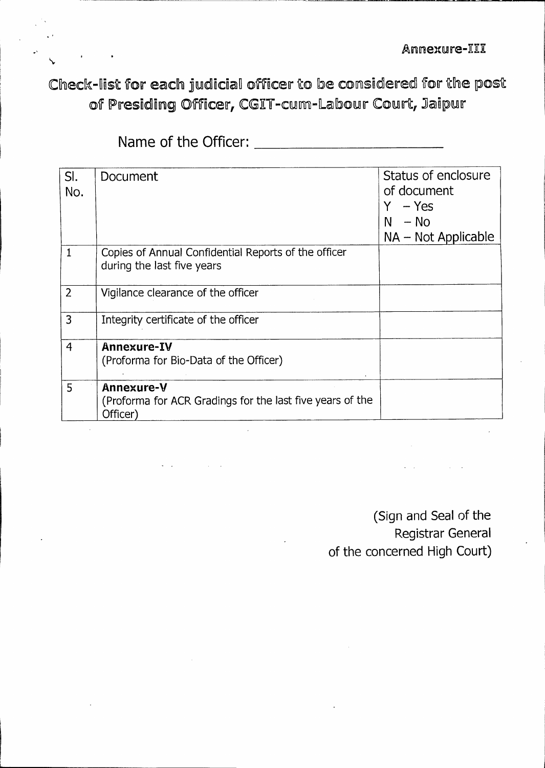Check-list for each judicial officer to be considered for the post of Presiding Officer, CGIT-cum-Labour Court, Jaipur

Name of the Officer:

 $\checkmark$ 

| SI.<br>No.     | Document                                                                            | Status of enclosure<br>of document<br>– Yes<br>$N - No$<br>NA - Not Applicable |
|----------------|-------------------------------------------------------------------------------------|--------------------------------------------------------------------------------|
| $\mathbf{1}$   | Copies of Annual Confidential Reports of the officer<br>during the last five years  |                                                                                |
| $\overline{2}$ | Vigilance clearance of the officer                                                  |                                                                                |
| 3              | Integrity certificate of the officer                                                |                                                                                |
| $\overline{4}$ | Annexure-IV<br>(Proforma for Bio-Data of the Officer)                               |                                                                                |
| 5              | Annexure-V<br>(Proforma for ACR Gradings for the last five years of the<br>Officer) |                                                                                |

**(Sign and Seal of the Registrar General of the concerned High Court)**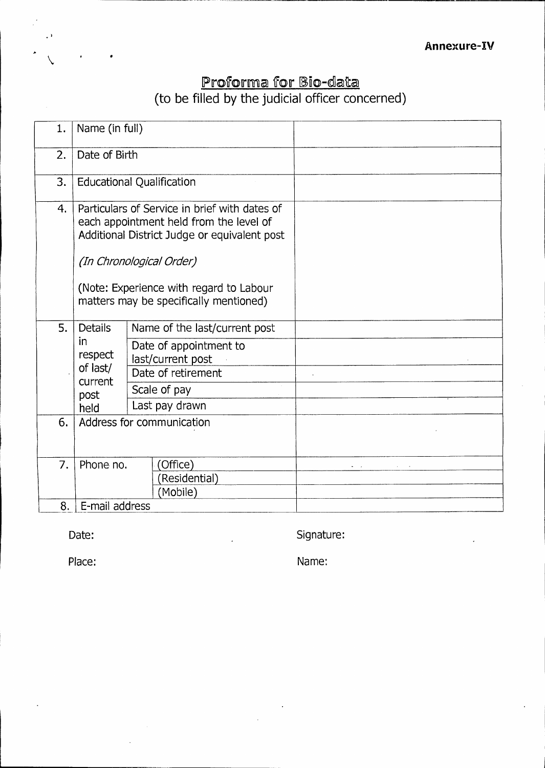## <u>Proforma for Bio-data</u> (to be filled by the judicial officer concerned)

| 1.       | Name (in full)                                                                                                                                                                                                                                            |                                                                                                                                                                   |                         |
|----------|-----------------------------------------------------------------------------------------------------------------------------------------------------------------------------------------------------------------------------------------------------------|-------------------------------------------------------------------------------------------------------------------------------------------------------------------|-------------------------|
| 2.       | Date of Birth                                                                                                                                                                                                                                             |                                                                                                                                                                   |                         |
| 3.       | <b>Educational Qualification</b>                                                                                                                                                                                                                          |                                                                                                                                                                   |                         |
| 4.       | Particulars of Service in brief with dates of<br>each appointment held from the level of<br>Additional District Judge or equivalent post<br>(In Chronological Order)<br>(Note: Experience with regard to Labour<br>matters may be specifically mentioned) |                                                                                                                                                                   |                         |
| 5.<br>6. | <b>Details</b><br>in.<br>respect<br>of last/<br>current<br>post<br>held                                                                                                                                                                                   | Name of the last/current post<br>Date of appointment to<br>last/current post<br>Date of retirement<br>Scale of pay<br>Last pay drawn<br>Address for communication |                         |
| 7.       | Phone no.                                                                                                                                                                                                                                                 | (Office)<br>(Residential)<br>(Mobile)                                                                                                                             | $\alpha$ and $\alpha$ . |
| 8.       | E-mail address                                                                                                                                                                                                                                            |                                                                                                                                                                   |                         |

*•* 

Date: Signature:

Place: Name: Name: Name: Name: Name: Name: Name: Name: Name: Name: Name: Name: Name: Name: Name: Name: Name: Name: Name: Name: Name: Name: Name: Name: Name: Name: Name: Name: Name: Name: Name: Name: Name: Name: Name: Name: